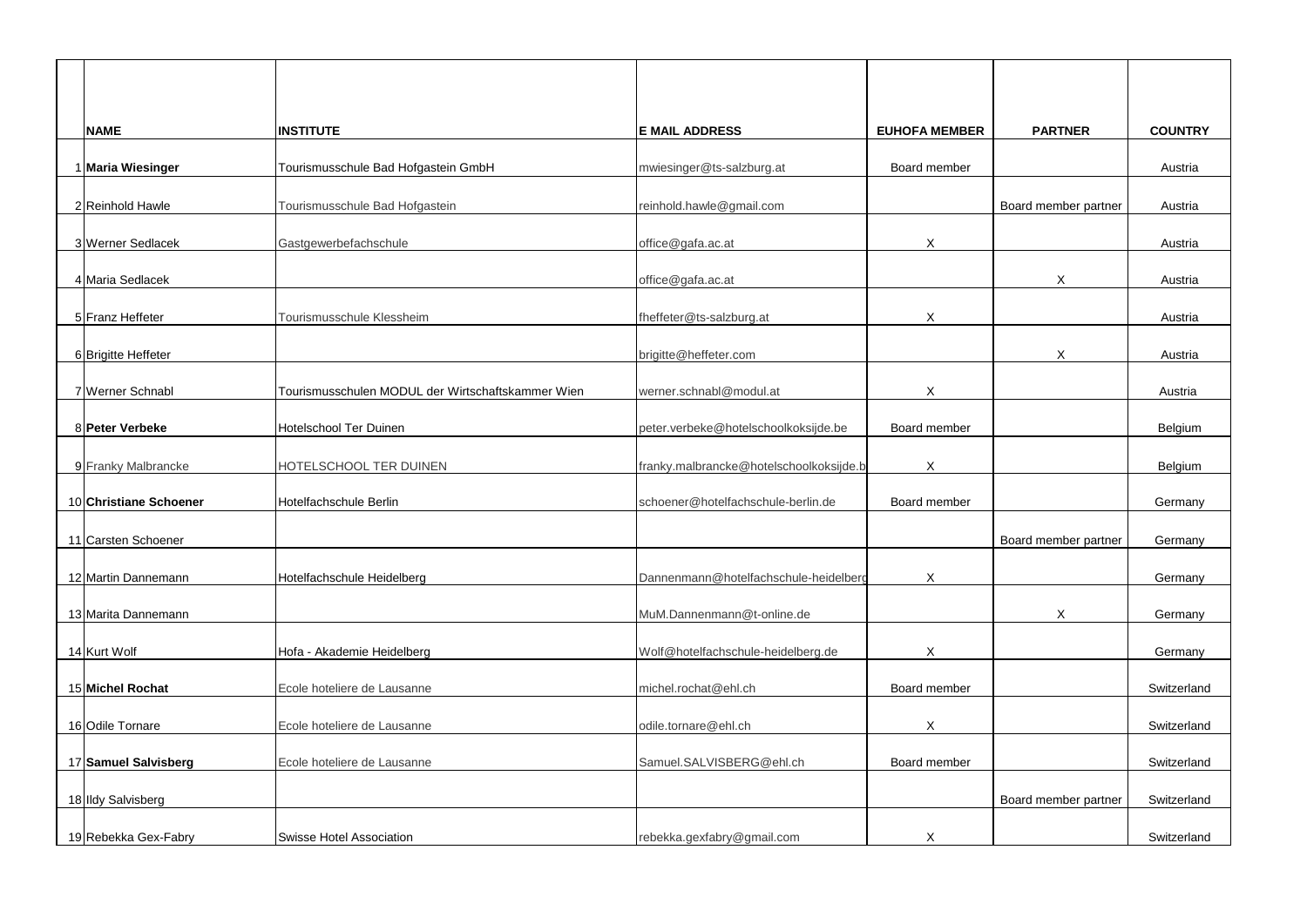| <b>NAME</b>            | <b>INSTITUTE</b>                                  | <b>E MAIL ADDRESS</b>                   | <b>EUHOFA MEMBER</b> | <b>PARTNER</b>       | <b>COUNTRY</b> |
|------------------------|---------------------------------------------------|-----------------------------------------|----------------------|----------------------|----------------|
| 1 Maria Wiesinger      | Tourismusschule Bad Hofgastein GmbH               | mwiesinger@ts-salzburg.at               | Board member         |                      | Austria        |
| 2 Reinhold Hawle       | Tourismusschule Bad Hofgastein                    | reinhold.hawle@gmail.com                |                      | Board member partner | Austria        |
| 3 Werner Sedlacek      | Gastgewerbefachschule                             | office@gafa.ac.at                       | X                    |                      | Austria        |
| 4 Maria Sedlacek       |                                                   | office@gafa.ac.at                       |                      | X                    | Austria        |
| 5 Franz Heffeter       | Tourismusschule Klessheim                         | fheffeter@ts-salzburg.at                | X                    |                      | Austria        |
| 6 Brigitte Heffeter    |                                                   | brigitte@heffeter.com                   |                      | X                    | Austria        |
| 7 Werner Schnabl       | Tourismusschulen MODUL der Wirtschaftskammer Wien | werner.schnabl@modul.at                 | X                    |                      | Austria        |
| 8 Peter Verbeke        | <b>Hotelschool Ter Duinen</b>                     | peter.verbeke@hotelschoolkoksijde.be    | Board member         |                      | Belgium        |
| 9 Franky Malbrancke    | HOTELSCHOOL TER DUINEN                            | franky.malbrancke@hotelschoolkoksijde.b | X                    |                      | Belgium        |
| 10 Christiane Schoener | Hotelfachschule Berlin                            | schoener@hotelfachschule-berlin.de      | Board member         |                      | Germany        |
| 11 Carsten Schoener    |                                                   |                                         |                      | Board member partner | Germany        |
| 12 Martin Dannemann    | Hotelfachschule Heidelberg                        | Dannenmann@hotelfachschule-heidelberg   | X                    |                      | Germany        |
| 13 Marita Dannemann    |                                                   | MuM.Dannenmann@t-online.de              |                      | X                    | Germany        |
| 14 Kurt Wolf           | Hofa - Akademie Heidelberg                        | Wolf@hotelfachschule-heidelberg.de      | X                    |                      | Germany        |
| 15 Michel Rochat       | Ecole hoteliere de Lausanne                       | michel.rochat@ehl.ch                    | Board member         |                      | Switzerland    |
| 16 Odile Tornare       | Ecole hoteliere de Lausanne                       | odile.tornare@ehl.ch                    | X                    |                      | Switzerland    |
| 17 Samuel Salvisberg   | Ecole hoteliere de Lausanne                       | Samuel.SALVISBERG@ehl.ch                | Board member         |                      | Switzerland    |
| 18 Ildy Salvisberg     |                                                   |                                         |                      | Board member partner | Switzerland    |
| 19 Rebekka Gex-Fabry   | <b>Swisse Hotel Association</b>                   | rebekka.gexfabry@gmail.com              | X                    |                      | Switzerland    |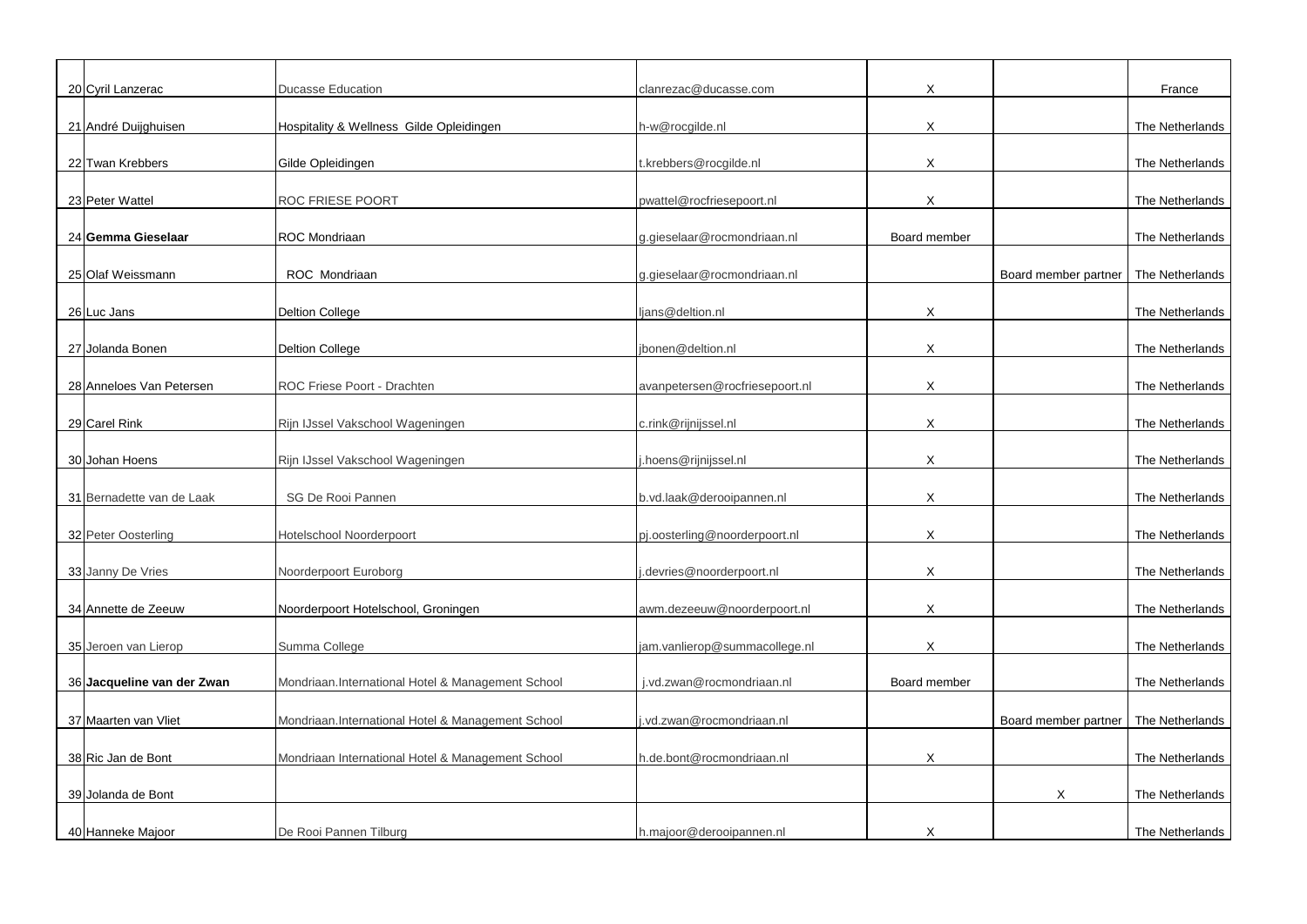| 20 Cyril Lanzerac          | <b>Ducasse Education</b>                          | clanrezac@ducasse.com          | X            |                      | France          |
|----------------------------|---------------------------------------------------|--------------------------------|--------------|----------------------|-----------------|
|                            |                                                   |                                | X            |                      |                 |
| 21 André Duijghuisen       | Hospitality & Wellness Gilde Opleidingen          | h-w@rocgilde.nl                |              |                      | The Netherlands |
| 22 Twan Krebbers           | Gilde Opleidingen                                 | t.krebbers@rocgilde.nl         | X            |                      | The Netherlands |
| 23 Peter Wattel            | <b>ROC FRIESE POORT</b>                           | pwattel@rocfriesepoort.nl      | X            |                      | The Netherlands |
| 24 Gemma Gieselaar         | <b>ROC Mondriaan</b>                              | g.gieselaar@rocmondriaan.nl    | Board member |                      | The Netherlands |
|                            |                                                   |                                |              |                      |                 |
| 25 Olaf Weissmann          | ROC Mondriaan                                     | g.gieselaar@rocmondriaan.nl    |              | Board member partner | The Netherlands |
| 26 Luc Jans                | <b>Deltion College</b>                            | ljans@deltion.nl               | X            |                      | The Netherlands |
| 27 Jolanda Bonen           | <b>Deltion College</b>                            | jbonen@deltion.nl              | X            |                      | The Netherlands |
| 28 Anneloes Van Petersen   | ROC Friese Poort - Drachten                       | avanpetersen@rocfriesepoort.nl | X            |                      | The Netherlands |
|                            |                                                   |                                |              |                      |                 |
| 29 Carel Rink              | Rijn IJssel Vakschool Wageningen                  | c.rink@rijnijssel.nl           | X            |                      | The Netherlands |
| 30 Johan Hoens             | Rijn IJssel Vakschool Wageningen                  | .hoens@rijnijssel.nl           | X            |                      | The Netherlands |
| 31 Bernadette van de Laak  | SG De Rooi Pannen                                 | b.vd.laak@derooipannen.nl      | X            |                      | The Netherlands |
| 32 Peter Oosterling        | <b>Hotelschool Noorderpoort</b>                   | pj.oosterling@noorderpoort.nl  | X            |                      | The Netherlands |
| 33 Janny De Vries          | Noorderpoort Euroborg                             | devries@noorderpoort.nl        | $\times$     |                      | The Netherlands |
| 34 Annette de Zeeuw        | Noorderpoort Hotelschool, Groningen               | awm.dezeeuw@noorderpoort.nl    | X            |                      | The Netherlands |
| 35 Jeroen van Lierop       | Summa College                                     | jam.vanlierop@summacollege.nl  | X            |                      | The Netherlands |
| 36 Jacqueline van der Zwan | Mondriaan.International Hotel & Management School | j.vd.zwan@rocmondriaan.nl      | Board member |                      | The Netherlands |
|                            |                                                   |                                |              |                      |                 |
| 37 Maarten van Vliet       | Mondriaan.International Hotel & Management School | .vd.zwan@rocmondriaan.nl       |              | Board member partner | The Netherlands |
| 38 Ric Jan de Bont         | Mondriaan International Hotel & Management School | h.de.bont@rocmondriaan.nl      | X            |                      | The Netherlands |
| 39 Jolanda de Bont         |                                                   |                                |              | X                    | The Netherlands |
| 40 Hanneke Majoor          | De Rooi Pannen Tilburg                            | h.majoor@derooipannen.nl       |              |                      | The Netherlands |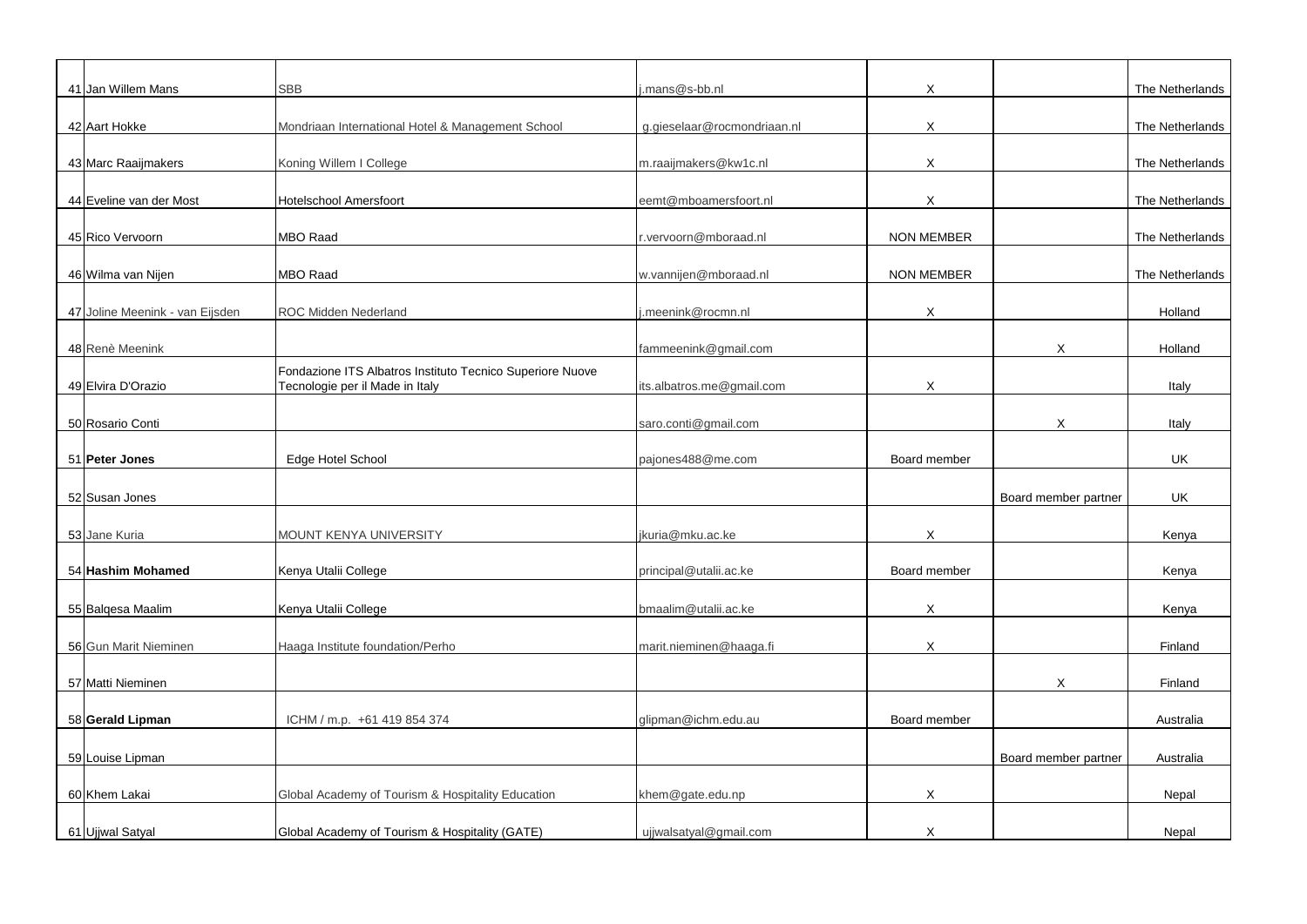| 41 Jan Willem Mans              | <b>SBB</b>                                                | j.mans@s-bb.nl              | X                         |                      | The Netherlands |
|---------------------------------|-----------------------------------------------------------|-----------------------------|---------------------------|----------------------|-----------------|
|                                 |                                                           |                             |                           |                      |                 |
| 42 Aart Hokke                   | Mondriaan International Hotel & Management School         | g.gieselaar@rocmondriaan.nl | X                         |                      | The Netherlands |
|                                 |                                                           |                             |                           |                      |                 |
| 43 Marc Raaijmakers             | Koning Willem I College                                   | m.raaijmakers@kw1c.nl       | X                         |                      | The Netherlands |
|                                 |                                                           |                             |                           |                      |                 |
| 44 Eveline van der Most         | <b>Hotelschool Amersfoort</b>                             | eemt@mboamersfoort.nl       | $\boldsymbol{\mathsf{X}}$ |                      | The Netherlands |
| 45 Rico Vervoorn                | <b>MBO Raad</b>                                           | r.vervoorn@mboraad.nl       | <b>NON MEMBER</b>         |                      | The Netherlands |
|                                 |                                                           |                             |                           |                      |                 |
| 46 Wilma van Nijen              | MBO Raad                                                  | w.vannijen@mboraad.nl       | <b>NON MEMBER</b>         |                      | The Netherlands |
|                                 |                                                           |                             |                           |                      |                 |
| 47 Joline Meenink - van Eijsden | <b>ROC Midden Nederland</b>                               | i.meenink@rocmn.nl          | X                         |                      | Holland         |
|                                 |                                                           |                             |                           |                      |                 |
| 48 Renè Meenink                 |                                                           | fammeenink@gmail.com        |                           | X.                   | Holland         |
|                                 | Fondazione ITS Albatros Instituto Tecnico Superiore Nuove |                             |                           |                      |                 |
| 49 Elvira D'Orazio              | Tecnologie per il Made in Italy                           | its.albatros.me@gmail.com   | X                         |                      | Italy           |
| 50 Rosario Conti                |                                                           |                             |                           |                      |                 |
|                                 |                                                           | saro.conti@gmail.com        |                           | X                    | Italy           |
| 51 Peter Jones                  | <b>Edge Hotel School</b>                                  | pajones488@me.com           | Board member              |                      | <b>UK</b>       |
|                                 |                                                           |                             |                           |                      |                 |
| 52 Susan Jones                  |                                                           |                             |                           | Board member partner | <b>UK</b>       |
|                                 |                                                           |                             |                           |                      |                 |
| 53 Jane Kuria                   | MOUNT KENYA UNIVERSITY                                    | jkuria@mku.ac.ke            | X                         |                      | Kenya           |
|                                 |                                                           |                             |                           |                      |                 |
| 54 Hashim Mohamed               | Kenya Utalii College                                      | principal@utalii.ac.ke      | Board member              |                      | Kenya           |
|                                 |                                                           |                             |                           |                      |                 |
| 55 Balgesa Maalim               | Kenya Utalii College                                      | bmaalim@utalii.ac.ke        | X                         |                      | Kenya           |
| 56 Gun Marit Nieminen           | Haaga Institute foundation/Perho                          | marit.nieminen@haaga.fi     | X                         |                      | Finland         |
|                                 |                                                           |                             |                           |                      |                 |
| 57 Matti Nieminen               |                                                           |                             |                           | X                    | Finland         |
|                                 |                                                           |                             |                           |                      |                 |
| 58 Gerald Lipman                | ICHM / m.p. +61 419 854 374                               | glipman@ichm.edu.au         | Board member              |                      | Australia       |
|                                 |                                                           |                             |                           |                      |                 |
| 59 Louise Lipman                |                                                           |                             |                           | Board member partner | Australia       |
|                                 |                                                           |                             |                           |                      |                 |
| 60 Khem Lakai                   | Global Academy of Tourism & Hospitality Education         | khem@gate.edu.np            | X                         |                      | Nepal           |
| 61 Ujjwal Satyal                | Global Academy of Tourism & Hospitality (GATE)            | ujjwalsatyal@gmail.com      | X                         |                      | Nepal           |
|                                 |                                                           |                             |                           |                      |                 |